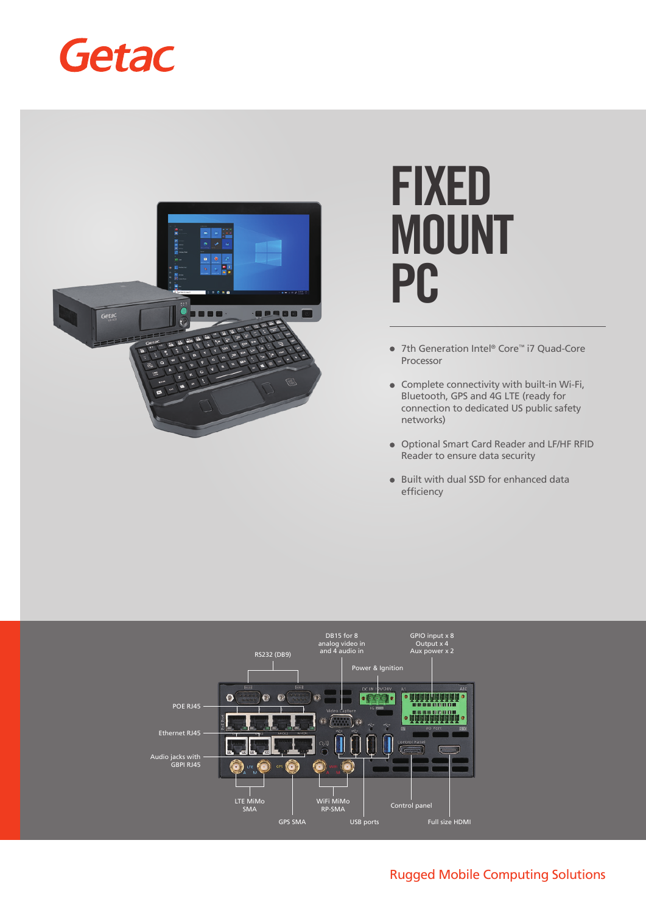



# **FIXED MOUNT PC**

- 7th Generation Intel® Core™ i7 Quad-Core Processor
- Complete connectivity with built-in Wi-Fi, Bluetooth, GPS and 4G LTE (ready for connection to dedicated US public safety networks)
- Optional Smart Card Reader and LF/HF RFID Reader to ensure data security
- Built with dual SSD for enhanced data efficiency



# Rugged Mobile Computing Solutions